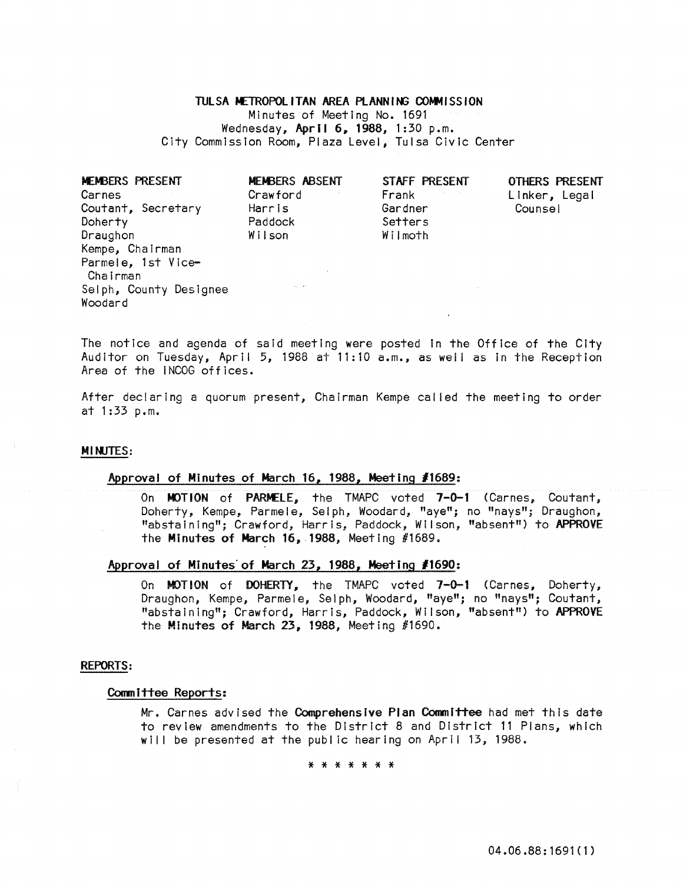## TULSA METROPOLITAN AREA PLANNING COMMISSION

Minutes of Meeting No. 1691 Wednesday, April 6, 1988, 1:30 p.m. City Commission Room, Plaza Level, Tulsa Civic Center

| <b>MEMBERS PRESENT</b> | MEMBERS ABSENT | STAFF PRESENT | OTHERS P |
|------------------------|----------------|---------------|----------|
| Carnes                 | Crawford       | Frank         | Linker,  |
| Coutant, Secretary     | Harris         | Gardner       | Counsel  |
| Doherty                | Paddock        | Setters       |          |
| Draughon               | Wilson         | Wilmoth       |          |
| Kempe, Chairman        |                |               |          |
| Parmele, 1st Vice-     |                |               |          |
| Chairman               |                |               |          |
| Selph, County Designee |                |               |          |
| Woodard                |                |               |          |

OTHERS PRESENT Linker, Legal

The notice and agenda of said meeting were posted In the Office of the City Auditor on Tuesday, April 5, 1988 at 11:10 a.m., as weii as In the Reception Area of the INCOG offices.

After declaring a quorum present, Chairman Kempe called the meeting to order at 1:33 p.m.

### **MINUTES:**

## Approval of Minutes of March 16, 1988, Meeting *11689:*

On MOTION of PARMELE, the TMAPC voted 7-0-1 (Carnes, Coutant, Doherty, Kempe, Parmele, Selph, Woodard, "aye"; no "nays"; Draughon, "abstaining"; Crawford, Harris, Paddock, Wilson, "absent") to APPROVE the Minutes of March 16,1988, Meeting #1689.

# Approval of Minutes'of March 23, 1988, Meeting *11690:*

On MOTION of DOHERTY, the TMAPC voted 7-0-1 (Carnes, Doherty, Draughon, Kempe, Parmele, Selph, Woodard, "aye"; no "nays"; Coutant, "abstaining"; Crawford, Harris, Paddock, Wilson, "absent") to APPROVE **the MInutes of March 23, 1988, Meeting #1690.** 

#### REPORTS:

### Committee Reports:

Mr. Carnes advised the Comprehensive Pian Committee had met this date to review amendments to the District 8 and District 11 Plans, which will be presented at the public hearing on April 13, 1988.

\* \* \* \* \* \* \*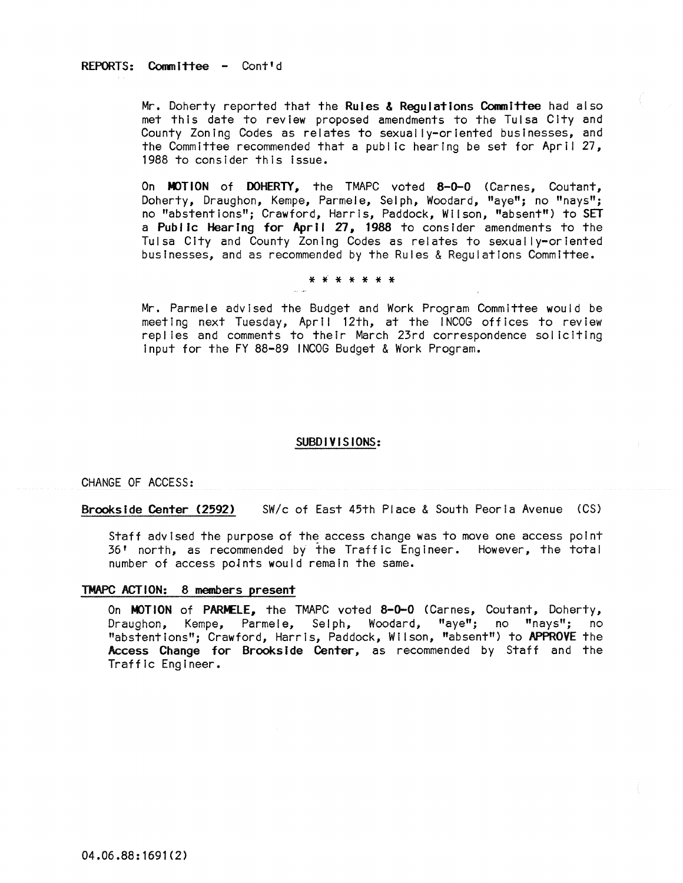## REPORTS: Committee - Cont'd

Mr. Doherty reported that the Rules & Regulations Committee had also met this date to review proposed amendments to the Tulsa City and County Zoning Codes as relates to sexually-oriented businesses, and the Committee recommended that a public hearing be set for April 27, 1988 to consider this Issue.

On MOTION of DOHERTY, the TMAPC voted 8-0-0 (Carnes, Coutant, Doherty, Draughon, Kempe, Parmele, Selph, Woodard, "aye"; no "nays"; no "abstentions"; Crawford, Harris, Paddock, Wilson, "absent") to SET a Public Hearing for April 27, 1988 to consider amendments to the Tulsa City and County Zoning Codes as relates to sexually-oriented businesses, and as recommended by the Rules & Regulations Committee.

### \* \* \* \* \* \* \*

Mr. Parmele advised the Budget and Work Program Committee would be meeting next Tuesday, April 12th, at the INCOG offices to review replies and comments to their March 23rd correspondence soliciting Input for the FY 88-89 INCOG Budget & Work Program.

### SUBDIVISIONS:

CHANGE OF ACCESS:

Brookside Center (2592) SW/c of East 45th Place & South Peoria Avenue (CS)

Staff advised the purpose of the access change was to move one access point 36' north, as recommended by the Traffic Engineer. However, the total number of access poJnts would remain the same.

### TMAPC ACTION: 8 members present

On MOTION of PARMELE, the TMAPC voted 8-0-0 (Carnes, Coutant, Doherty, Draughon, Kempe, Parmele, Selph, Woodard, "aye"; no "nays"; no "abstentions"; Crawford, Harris, Paddock, Wilson, "absent") to APPROVE the Access Change for Brookside Center, as recommended by Staff and the Traffic Engineer.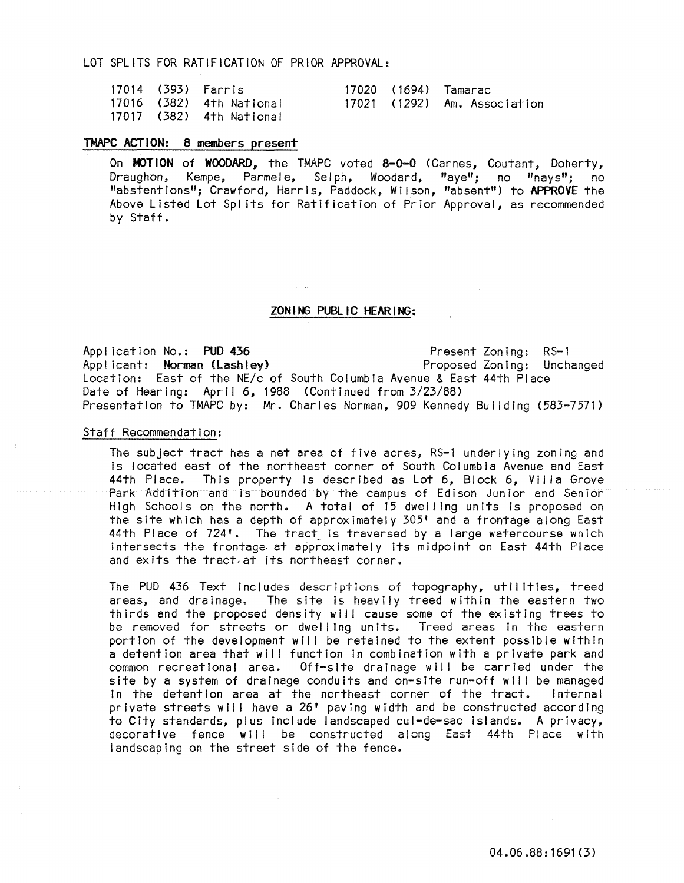LOT SPLITS FOR RATIFICATION OF PRIOR APPROVAL:

|  | 17014 (393) Farris       |  | 17020 (1694) Tamarac         |
|--|--------------------------|--|------------------------------|
|  | 17016 (382) 4th National |  | 17021 (1292) Am. Association |
|  | 17017 (382) 4th National |  |                              |

# TMAPC ACTION: 8 members present

On MOTION of WOODARD, the TMAPC voted 8-0-0 (Carnes, Coutant, Doherty, Draughon, Kempe, Parmele, Selph, Woodard, "aye"; no "nays"; no "abstentions"; Crawford, Harris, Paddock, Wilson, "absent") to APPROVE the Above Listed Lot Spl its for Ratification of Prior Approval, as recommended by Staff.

## ZON ING PUBLIC HEARING:

Appl icatlon No.: PUD 436 Present Zoning: RS-1 Applicant: Norman (Lashley) Location: East of the NE/c of South Columbia Avenue & East 44th Place Date of Hearing: April 6, 1988 (Continued from 3/23/88) Presentation to TMAPC by: Mr. Charles Norman, 909 Kennedy Building (583-7571)

### Staff Recommendation:

The subject tract has a net area of five acres, RS-l underlying zoning and Is located east of the northeast corner of South Columbia Avenue and East 44th Place. This property is described as Lot 6, Block 6, Villa Grove Park Addition and is bounded by the campus of Edison Junior and Senior High Schools on the north. A total of 15 dwelling units is proposed on the site which has a depth of approximately 305' and a frontage along East  $44<sup>th</sup>$  Piace of  $724<sup>th</sup>$ . The tract is traversed by a large watercourse which intersects the frontage at approximately its midpoint on East 44th Place and exits the tract at its northeast corner.

The PUD 436 Text includes descriptions of topography, utilities, treed areas, and drainage. The site is heavily treed within the eastern two thirds and the proposed density will cause some of the existing trees to be removed for streets or dwelling units. Treed areas in the eastern portion of the development will be retained to the extent possible within a detention area that will function in combination with a private park and common recreational area. Off-site drainage will be carried under the site by a system of drainage conduits and on-site run-off will be managed In the detention area at the northeast corner of the tract. Internal private streets will have a 26' paving width and be constructed according to City standards, plus include landscaped cul-de-sac Islands. A privacy, decorative fence will be constructed along East 44th Place with landscaping on the street side of the fence.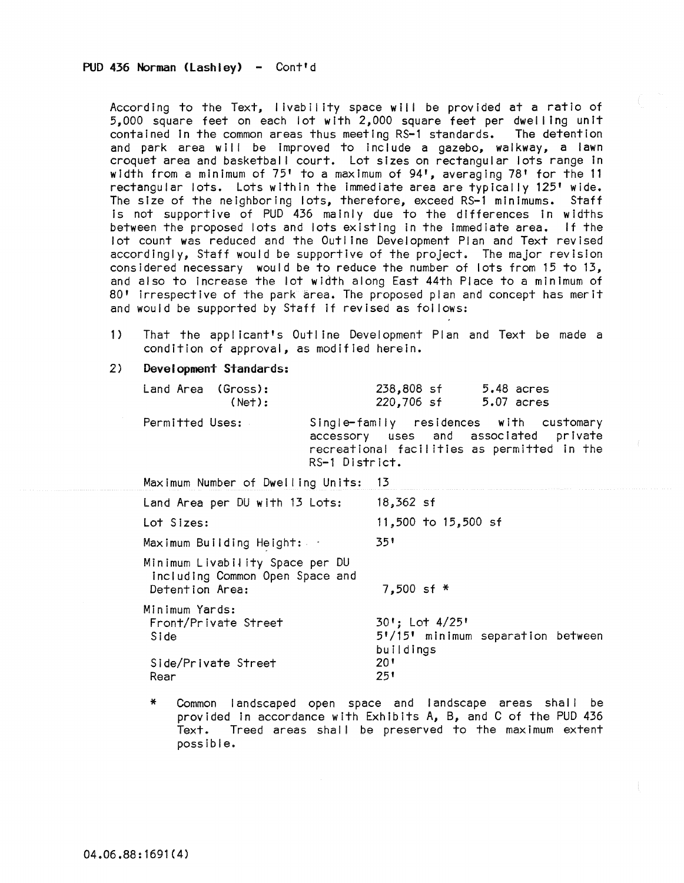According to the Text, livability space will be provided at a ratio of 5,000 square feet on each lot with 2,000 square feet per dwelling unit contained In the common areas thus meeting RS-l standards. The detention and park area will be improved to include a gazebo, walkway, a lawn croquet area and basketball court. Lot sizes on rectangular lots range in width from a minimum of 75' to a maximum of 94', averaging 78' for the <sup>11</sup> rectangular lots. Lots within the immediate area are typically 125' wide. The size of the neighboring lots, therefore, exceed RS-l minimums. Staff is not supportive of PUD 436 mainly due to the differences in widths between the proposed lots and lots existing in the Immediate area. If the lot count was reduced and the Outl ine Development Plan and Text revised accordingly, Staff would be supportive of the project. The major revision considered necessary would be to reduce the number of lots from 15 to 13, and also to Increase the lot width along East 44th Place to a minimum of 80' irrespective of the park area. The proposed plan and concept has merit and would be supported by Staff If revised as fol lows:

- 1) That the applicant's Outl ine Development Plan and Text be made a condition of approval, as modified herein.
- 2) Development Standards:

| Land Area (Gross): | (Net): | 238,808 sf<br>5.48 acres<br>220,706 sf<br>5.07 acres                                                                                              |
|--------------------|--------|---------------------------------------------------------------------------------------------------------------------------------------------------|
| Permitted Uses:    |        | Single-family residences with customary<br>accessory uses and associated private<br>recreational facilities as permitted in the<br>RS-1 District. |

| Maximum Number of Dwelling Units:                                                     | - 13                                                                 |
|---------------------------------------------------------------------------------------|----------------------------------------------------------------------|
| Land Area per DU with 13 Lots:                                                        | $18,362$ sf                                                          |
| Lot Sizes:                                                                            | 11,500 to 15,500 sf                                                  |
| Maximum Building Height:                                                              | 351                                                                  |
| Minimum Livability Space per DU<br>including Common Open Space and<br>Detention Area: | $7.500$ sf *                                                         |
| Minimum Yards:<br>Front/Private Street<br>Side                                        | $30!:$ Lot $4/25!$<br>5'/15' minimum separation between<br>buildings |
| Side/Private Street<br>Rear                                                           | 20'<br>251                                                           |

\* Common landscaped open space and landscape areas shal I be provided in accordance with Exhibits A, B, and C of the PUD 436 Text. Treed areas shall be preserved to the maximum extent possible.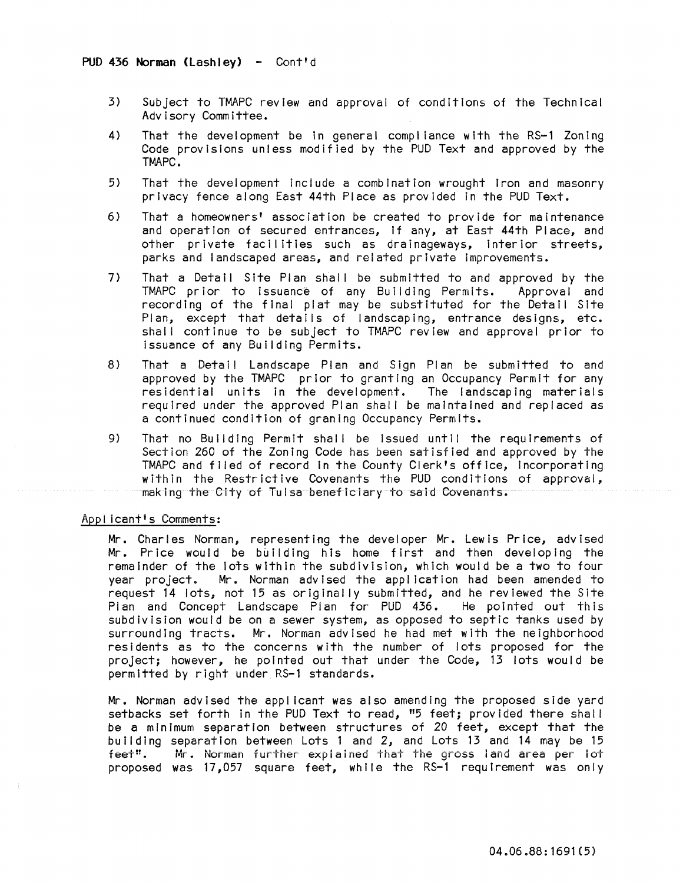- 3) Subject to TMAPC review and approval of conditions of the Technical Advisory Committee.
- 4) That the development be in general compliance with the RS-1 Zoning Code provisions unless modified by the PUD Text and approved by the TMAPC.
- 5) That the development include a combination wrought iron and masonry privacy fence along East 44th Place as provided In the PUD Text.
- 6) That a homeowners' association be created to provide for maintenance and operation of secured entrances, if any, at East 44th Place, and other private facilities such as dralnageways, Interior streets, parks and landscaped areas, and related private improvements.
- 7) That a Detail Site Plan shall be submitted to and approved by the TMAPC prior to issuance of any Building Permits. Approval and recording of the final plat may be substituted for the Detail Site Plan, except that details of landscaping, entrance designs, etc. shall continue to be subject to TMAPC review and approval prior to issuance of any Building Permits.
- 8) That a Detail Landscape Plan and Sign Plan be submitted to and approved by the TMAPC prior to granting an Occupancy Permit for any residential units in the development. The landscaping materials required under the approved Plan shall be maintained and replaced as a continued condition of graning Occupancy Permits.
- 9) That no Bui Iding Permit shall be issued until the requirements of Section 260 of the Zoning Code has been satisfied and approved by the TMAPC and filed of record In the County Clerk's office, Incorporating with in the Restrictive Covenants the PUD conditions of approval, making the City of Tulsa beneficiary to said Covenants.

## Appl lcant's Comments:

Mr. Charles Norman, representing the developer Mr. Lewis Price, advised Mr. Price would be building his home first and then developing the remainder of the lots within the subdivision, which would be a two to four year project. Mr. Norman advised the application had been amended to request 14 lots, not 15 as originally submitted, and he reviewed the Site<br>Plan and Concept Landscape Plan for PUD 436. He pointed out this Plan and Concept Landscape Plan for PUD 436. subdivision would be on a sewer system, as opposed to septic tanks used by surrounding tracts. Mr. Norman advised he had met with the neighborhood residents as to the concerns with the number of lots proposed for the project; however, he pointed out that under the Code, 13 lots would be permitted by right under RS-l standards.

Mr. Norman advised the appl lcant was also amending the proposed side yard setbacks set forth in the PUD Text to read, "5 feet; provided there shall be a minimum separation between structures of 20 feet, except that the building separation between Lots 1 and 2, and Lots 13 and 14 may be 15 feet". Mr. Norman further explained that the gross land area per lot proposed was 17,057 square feet, while the RS-1 requirement was only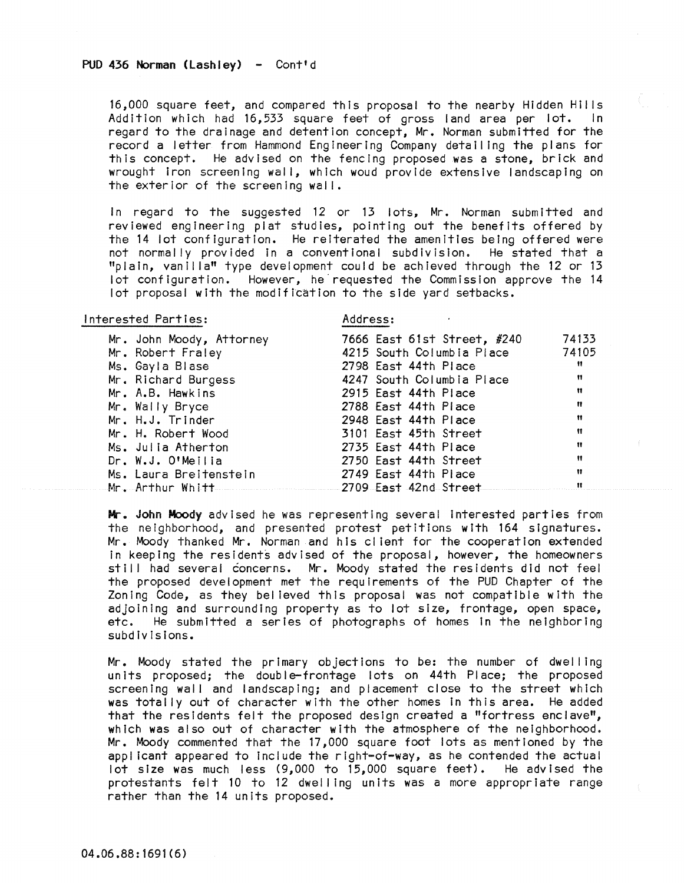16,000 square feet, and compared this proposal to the nearby Hidden Hills<br>Addition which had 16.533 square feet of gross land area per lot. In Addition which had 16,533 square feet of gross land area per lot. regard to the drainage and detention concept, Mr. Norman submitted for the record a letter from Hammond Engineering Company detailing the plans for this concept. He advised on the fencing proposed was a stone, brick and wrought Iron screening wal I, which woud provide extensive landscaping on the exterior of the screening wall.

In regard to the suggested 12 or 13 lots, Mr. Norman submitted and reviewed engineering plat studies, pointing out the benefits offered by the 14 lot configuration. He reiterated the amenities being offered were not normally provided in a conventional subdivision. He stated that a "plain, vanilla" type development could be achieved through the 12 or 13 lot conf Iguration. However, he· requested the Commission approve the 14 lot proposal with the modification to the side yard setbacks.

### Interested Parties: Address:

| Mr. John Moody, Attorney               | 7666 East 61st Street, #240 | 74133 |
|----------------------------------------|-----------------------------|-------|
| Mr. Robert Fraley                      | 4215 South Columbia Place   | 74105 |
| Ms. Gayla Blase                        | 2798 East 44th Place        | Ħ     |
| Mr. Richard Burgess                    | 4247 South Columbia Place   | m     |
| Mr. A.B. Hawkins                       | 2915 East 44th Place        | Ħ     |
| Mr. Wally Bryce                        | 2788 East 44th Place        | Ħ     |
| Mr. H.J. Trinder                       | 2948 East 44th Place        | Ħ     |
| Mr. H. Robert Wood                     | 3101 East 45th Street       | Ħ     |
| Ms. Julia Atherton                     | 2735 East 44th Place        | Ħ     |
| Dr. W.J. O'Meilia                      | 2750 East 44th Street       | Ħ     |
| Ms. Laura Breitenstein                 | 2749 East 44th Place        | Ħ     |
| Mr. Arthur Whitt 2709 East 42nd Street |                             | Ħ     |
|                                        |                             |       |

Mr. John Moody advised he was representing several Interested parties from the neighborhood, and presented protest petitions with 164 signatures. Mr. Moody thanked Mr. Norman and his client for the cooperation extended in keeping the residents advised of the proposal, however, the homeowners still had several concerns. Mr. Moody stated the residents did not feel the proposed development met the requirements of the PUD Chapter of the Zoning Code, as they bel ieved this proposal was not compatible with the adjoining and surrounding property as to lot size, frontage, open space, etc. He submitted a series of photographs of homes in the neighboring subdivisions.

Mr. Moody stated the primary objections to be: the number of dwell ing units proposed; the double-frontage lots on 44th Place; the proposed screening wall and landscaping; and placement close to the street which was totally out of character with the other homes In this area. He added that the residents felt the proposed design created a "fortress enclave", which was also out of character with the atmosphere of the neighborhood. Mr. Moody commented that the 17,000 square foot lots as mentioned by the applicant appeared to include the right-of-way, as he contended the actual lot size was much less (9,000 to 15,000 square feet). He advised the protestants felt 10 to 12 dwelling units was a more appropriate range rather than the 14 units proposed.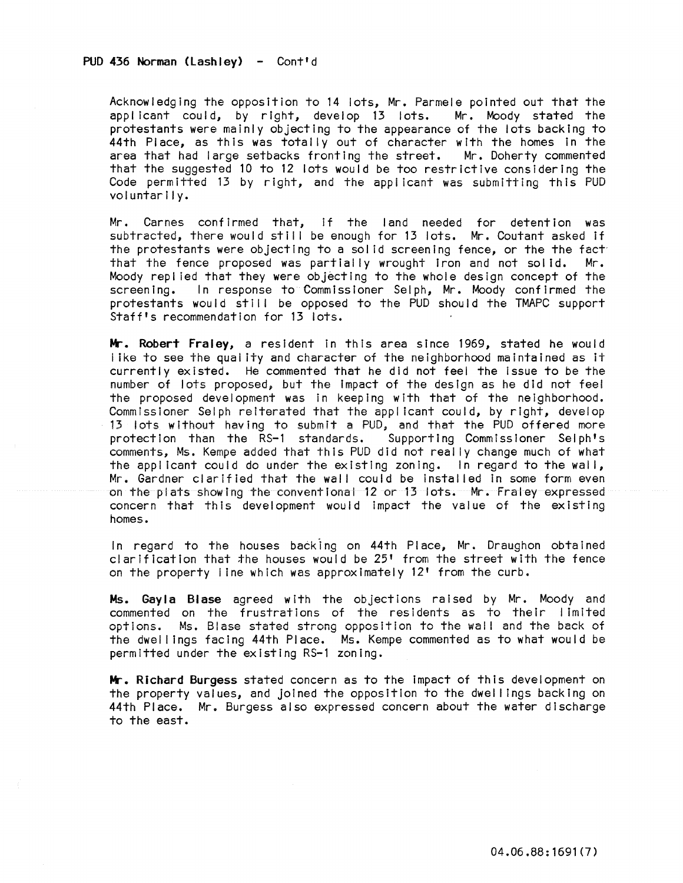Acknowledging the opposition to 14 lots, Mr. Parmele pointed out that the applicant could, by right, develop 13 lots. Mr. Moody stated the protestants were mainly objecting to the appearance of the lots backing to 44th Place, as this was totally out of character with the homes In the area that had large setbacks fronting the street. Mr. Doherty commented that the suggested 10 to 12 lots would be too restrictive considering the Code permitted 13 by right, and the applicant was submitting this PUD voluntarily.

Mr. Carnes confirmed that, if the land needed for detention was subtracted, there would still be enough for 13 lots. Mr. Coutant asked if the protestants were objecting to a solid screening fence, or the the fact that the fence proposed was partially wrought iron and not solid. Mr. Moody repl ied that they were objecting to the whole design concept of the screening. In response to Commissioner Selph, Mr. Moody confirmed the protestants would still be opposed to the PUD should the TMAPC support Staff's recommendation for 13 lots.

Mr. Robert Fraley, a resident in this area since 1969, stated he would i ike to see the quai ity and character of the neighborhood maintained as it currently existed. He commented that he did not feel the Issue to be the number of lots proposed; but the Impact of the design as he did not feel the proposed development was in keeping with that of the neighborhood. Commissioner Selph reiterated that the appl icant could, by right, develop 13 lots without having to submit a PUD, and that the PUD offered more protection than the RS-l standards. Supporting Commissioner Selph's comments, Ms. Kempe added that this PUD did not really change much of what the appl icant could do under the existing zoning. In regard to the wall, Mr. Gardner clarified that the wall could be installed in some form even on the plats showing the conventional 12 or 13 lots. Mr. Fraley expressed concern that this development would impact the value of the existing homes.

In regard to the houses backing on 44th Place, Mr. Draughon obtained clarification that the houses would be 25' from the street with the fence on the property I ine which was approximately 12' from the curb.

Ms. Gayla Blase agreed with the objections raised by Mr. Moody and commented on the frustrations of the residents as to their limited options. Ms. Blase stated strong opposition to the wall and the back of the dwel I ings facing 44th Place. Ms. Kempe commented as to what would be permitted under the existing RS-l zoning.

**Mr.** Richard Burgess stated concern as to the impact of this development on the property values, and joined the opposition to the dwel I ings backing on 44th Place. Mr. Burgess also expressed concern about the water discharge to the east.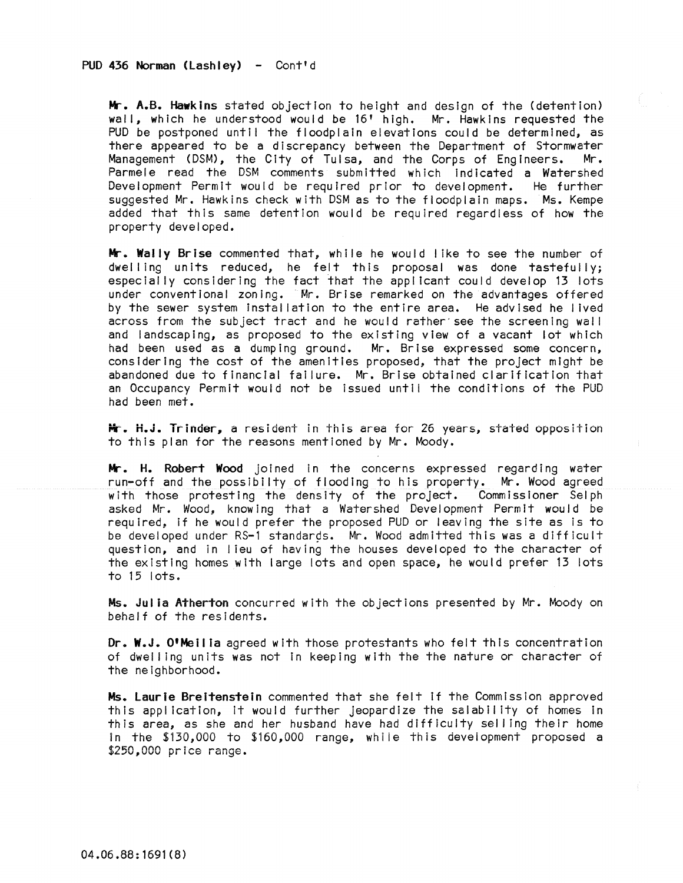Mr. A.B. Hawkins stated objection to height and design of the (detention) wall, which he understood would be 16' high. Mr. Hawkins requested the PUD be postponed until the floodplain elevations could be determined, as there appeared to be a discrepancy between the Department of Stormwater Management (DSM), the City of Tulsa, and the Corps of Engineers. Mr. Parmele read the DSM comments submitted which indicated a Watershed Development Permit would be required prior to development. He further suggested Mr. Hawkins check with DSM as to the floodplain maps. Ms. Kempe added that this same detention would be required regardless of how the property developed.

Mr. Wally Brise commented that, while he would like to see the number of dwelling units reduced, he felt this proposal was done tastefully; especially considering the fact that the applicant could develop 13 lots under conventional zoning. Mr. Brlse remarked on the advantages offered by the sewer system installation to the entire area. He advised he lived across from the subject tract and he would rather'see the screening wall and landscaping, as proposed to the existing view of a vacant lot which had been used as a dumping ground. Mr. Brlse expressed some concern, considering the cost of the amenities proposed, that the project might be abandoned due to financial failure. Mr. Brise obtained clarification that an Occupancy Permit would not be Issued until the conditions of the PUD had been met.

Mr. H.J. Trinder, a resident in this area for 26 years, stated opposition to this plan for the reasons mentioned by Mr. Moody.

Mr. H. Robert Wood joined in the concerns expressed regarding water run-off and the possibilty of flooding to his property. Mr. Wood agreed with those protesting the density of the project. Commissioner Sel ph asked Mr. Wood, knowing that a Watershed Development Permit would be required, if he would prefer the proposed PUD or leaving the site as is to be developed under RS-1 standards. Mr. Wood admitted this was a difficult question, and in I ieu of having the houses developed to the character of the existing homes with large lots and open space, he would prefer 13 lots to 15 lots.

Ms. Julia Atherton concurred with the objections presented by Mr. Moody on behalf of the residents.

Dr. W.J. O'Mellia agreed with those protestants who felt this concentration of dwel ling units was not In keeping with the the nature or character of the neighborhood.

Ms. Laurie Breitenstein commented that she felt if the Commission approved this application, it would further jeopardize the salability of homes In this area, as she and her husband have had difficulty sel ling their home In the \$130,000 to \$160,000 range, while this development proposed a \$250,000 price range.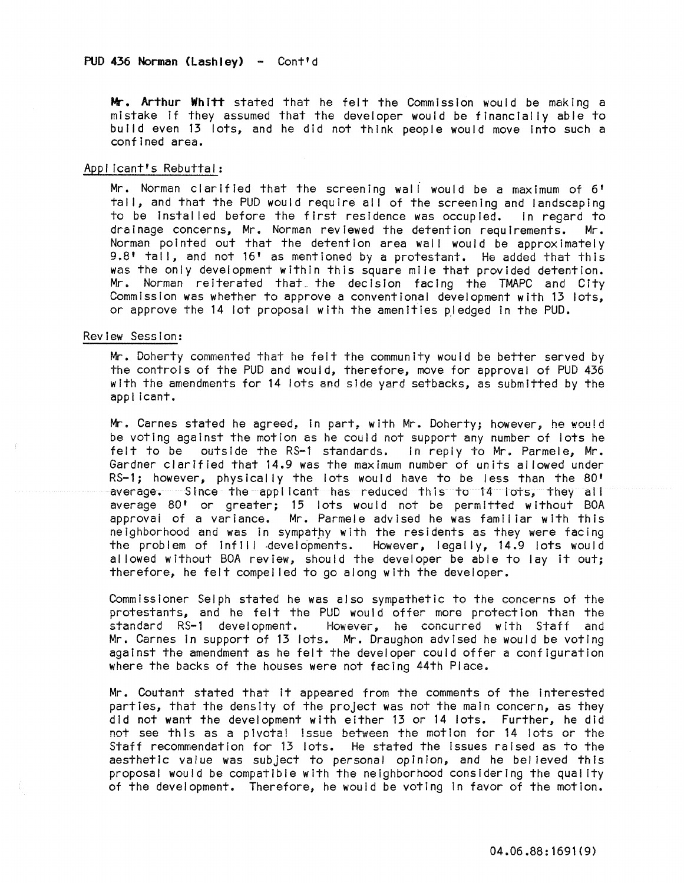Mr. Arthur Whitt stated that he felt the Commission would be making a mistake If they assumed that the developer would be financially able to build even 13 lots, and he did not think people would move Into such a confined area.

### Applicant's Rebuttal:

Mr. Norman clarified that the screening wall would be a maximum of 6' tall, and that the PUD would require all of the screening and landscaping to be installed before the first residence was occupied. In regard to drainage concerns, Mr. Norman reviewed the detention requirements. Mr. Norman pointed out that the detention area wall would be approximately 9.8' tall, and not 16' as mentioned by a protestant. He added that this was the only development within this square mile that provided detention. Mr. Norman reiterated that the decision facing the TMAPC and City Commission was whether to approve a conventional development with 13 lots, or approve the 14 lot proposal with the amenities pledged in the PUD.

### Review Session:

Mr. Doherty commented that he felt the community would be better served by the controls of the PUD and would, therefore, move for approval of PUD 436 with the amendments for 14 lots and side yard setbacks, as submitted by the applicant.

Mr. Carnes stated he agreed, in part, with Mr. Doherty; however; he would be voting against the motion as he could not support any number of lots he<br>felt to be outside the RS-1 standards. In reply to Mr. Parmele, Mr. felt to be outside the RS-1 standards. Gardner clarified that 14.9 was the maximum number of units al lowed under RS-1; however, physically the lots would have to be less than the 80' average. Since the applicant has reduced this to 14 lots, they all average 80' or greater; 15 lots would not be permitted without BOA approval of a variance. Mr. Parmele advised he was familiar with this neighborhood and was in sympathy with the residents as they were facing the problem of infill .developments. However, legally, 14.9 lots would allowed without BOA review, should the developer be able to lay it out; therefore, he felt compel led to go along with the developer.

CommIssioner Selph stated he was also sympathetic to the concerns of the protestants, and he felt the PUD would offer more protection than the standard RS-1 development. However, he concurred with Staff and Mr. Carnes In support of 13 lots. Mr. Draughon advIsed he would be voting against the amendment as he felt the developer could offer a configuration where the backs of the houses were not facing 44th Place.

Mr. Coutant stated that It appeared from the comments of the Interested parties, that the densIty of the project was not the main concern, as they did not want the development with either 13 or 14 lots. Further, he did not see this as a pivotal issue between the motion for 14 lots or the Staff recommendation for 13 lots. He stated the Issues raised as to the aesthetic value was subject to personal opinion, and he believed this proposal would be compatible with the neighborhood considering the quality of the development. Therefore, he would be voting in favor of the motion.